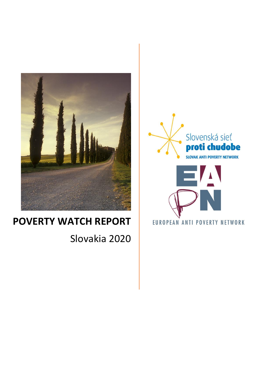

# **POVERTY WATCH REPORT**

Slovakia 2020



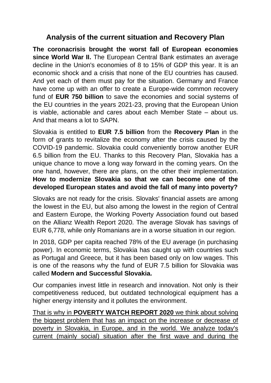# **Analysis of the current situation and Recovery Plan**

**The coronacrisis brought the worst fall of European economies since World War II.** The European Central Bank estimates an average decline in the Union's economies of 8 to 15% of GDP this year. It is an economic shock and a crisis that none of the EU countries has caused. And yet each of them must pay for the situation. Germany and France have come up with an offer to create a Europe-wide common recovery fund of **EUR 750 billion** to save the economies and social systems of the EU countries in the years 2021-23, proving that the European Union is viable, actionable and cares about each Member State – about us. And that means a lot to SAPN.

Slovakia is entitled to **EUR 7.5 billion** from the **Recovery Plan** in the form of grants to revitalize the economy after the crisis caused by the COVID-19 pandemic. Slovakia could conveniently borrow another EUR 6.5 billion from the EU. Thanks to this Recovery Plan, Slovakia has a unique chance to move a long way forward in the coming years. On the one hand, however, there are plans, on the other their implementation. **How to modernize Slovakia so that we can become one of the developed European states and avoid the fall of many into poverty?**

Slovaks are not ready for the crisis. Slovaks' financial assets are among the lowest in the EU, but also among the lowest in the region of Central and Eastern Europe, the Working Poverty Association found out based on the Allianz Wealth Report 2020. The average Slovak has savings of EUR 6,778, while only Romanians are in a worse situation in our region.

In 2018, GDP per capita reached 78% of the EU average (in purchasing power). In economic terms, Slovakia has caught up with countries such as Portugal and Greece, but it has been based only on low wages. This is one of the reasons why the fund of EUR 7.5 billion for Slovakia was called **Modern and Successful Slovakia.**

Our companies invest little in research and innovation. Not only is their competitiveness reduced, but outdated technological equipment has a higher energy intensity and it pollutes the environment.

That is why in **POVERTY WATCH REPORT 2020** we think about solving the biggest problem that has an impact on the increase or decrease of poverty in Slovakia, in Europe, and in the world. We analyze today's current (mainly social) situation after the first wave and during the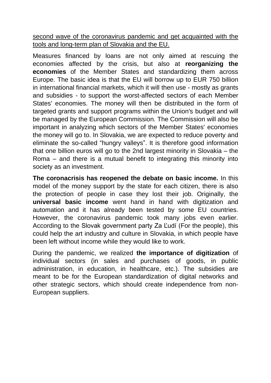second wave of the coronavirus pandemic and get acquainted with the tools and long-term plan of Slovakia and the EU.

Measures financed by loans are not only aimed at rescuing the economies affected by the crisis, but also at **reorganizing the economies** of the Member States and standardizing them across Europe. The basic idea is that the EU will borrow up to EUR 750 billion in international financial markets, which it will then use - mostly as grants and subsidies - to support the worst-affected sectors of each Member States' economies. The money will then be distributed in the form of targeted grants and support programs within the Union's budget and will be managed by the European Commission. The Commission will also be important in analyzing which sectors of the Member States' economies the money will go to. In Slovakia, we are expected to reduce poverty and eliminate the so-called "hungry valleys". It is therefore good information that one billion euros will go to the 2nd largest minority in Slovakia – the Roma – and there is a mutual benefit to integrating this minority into society as an investment.

**The coronacrisis has reopened the debate on basic income.** In this model of the money support by the state for each citizen, there is also the protection of people in case they lost their job. Originally, the **universal basic income** went hand in hand with digitization and automation and it has already been tested by some EU countries. However, the coronavirus pandemic took many jobs even earlier. According to the Slovak government party Za Ľudí (For the people), this could help the art industry and culture in Slovakia, in which people have been left without income while they would like to work.

During the pandemic, we realized **the importance of digitization** of individual sectors (in sales and purchases of goods, in public administration, in education, in healthcare, etc.). The subsidies are meant to be for the European standardization of digital networks and other strategic sectors, which should create independence from non-European suppliers.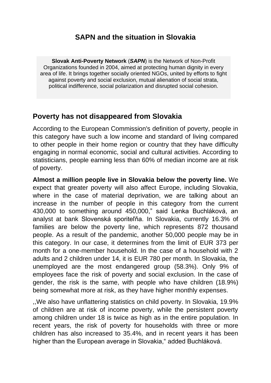# **SAPN and the situation in Slovakia**

**Slovak Anti-Poverty Network** (*SAPN*) is the Network of Non-Profit Organizations founded in 2004, aimed at protecting human dignity in every area of life. It brings together socially oriented NGOs, united by efforts to fight against poverty and social exclusion, mutual alienation of social strata, political indifference, social polarization and disrupted social cohesion.

# **Poverty has not disappeared from Slovakia**

According to the European Commission's definition of poverty, people in this category have such a low income and standard of living compared to other people in their home region or country that they have difficulty engaging in normal economic, social and cultural activities. According to statisticians, people earning less than 60% of median income are at risk of poverty.

**Almost a million people live in Slovakia below the poverty line.** We expect that greater poverty will also affect Europe, including Slovakia, where in the case of material deprivation, we are talking about an increase in the number of people in this category from the current 430,000 to something around 450,000," said Lenka Buchláková, an analyst at bank Slovenská sporiteľňa. In Slovakia, currently 16.3% of families are below the poverty line, which represents 872 thousand people. As a result of the pandemic, another 50,000 people may be in this category. In our case, it determines from the limit of EUR 373 per month for a one-member household. In the case of a household with 2 adults and 2 children under 14, it is EUR 780 per month. In Slovakia, the unemployed are the most endangered group (58.3%). Only 9% of employees face the risk of poverty and social exclusion. In the case of gender, the risk is the same, with people who have children (18.9%) being somewhat more at risk, as they have higher monthly expenses.

,,We also have unflattering statistics on child poverty. In Slovakia, 19.9% of children are at risk of income poverty, while the persistent poverty among children under 18 is twice as high as in the entire population. In recent years, the risk of poverty for households with three or more children has also increased to 35.4%, and in recent years it has been higher than the European average in Slovakia," added Buchláková.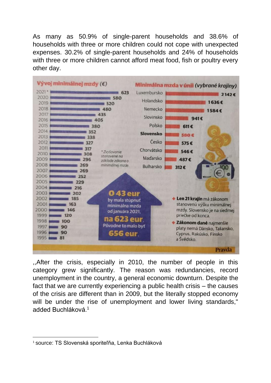As many as 50.9% of single-parent households and 38.6% of households with three or more children could not cope with unexpected expenses. 30.2% of single-parent households and 24% of households with three or more children cannot afford meat food, fish or poultry every other day.



,,After the crisis, especially in 2010, the number of people in this category grew significantly. The reason was redundancies, record unemployment in the country, a general economic downturn. Despite the fact that we are currently experiencing a public health crisis – the causes of the crisis are different than in 2009, but the literally stopped economy will be under the rise of unemployment and lower living standards." added Buchláková.<sup>1</sup>

<sup>1</sup> source: TS Slovenská sporiteľňa, Lenka Buchláková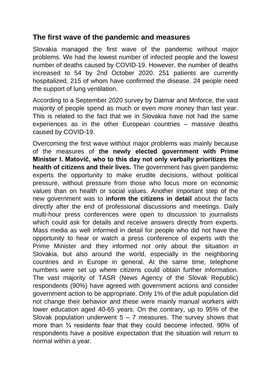# **The first wave of the pandemic and measures**

Slovakia managed the first wave of the pandemic without major problems. We had the lowest number of infected people and the lowest number of deaths caused by COVID-19. However, the number of deaths increased to 54 by 2nd October 2020. 251 patients are currently hospitalized, 215 of whom have confirmed the disease. 24 people need the support of lung ventilation.

According to a September 2020 survey by Datmar and Mnforce, the vast majority of people spend as much or even more money than last year. This is related to the fact that we in Slovakia have not had the same experiences as in the other European countries – massive deaths caused by COVID-19.

Overcoming the first wave without major problems was mainly because of the measures of **the newly elected government with Prime Minister I. Matovič, who to this day not only verbally prioritizes the health of citizens and their lives.** The government has given pandemic experts the opportunity to make erudite decisions, without political pressure, without pressure from those who focus more on economic values than on health or social values. Another important step of the new government was to **inform the citizens in detail** about the facts directly after the end of professional discussions and meetings. Daily multi-hour press conferences were open to discussion to journalists which could ask for details and receive answers directly from experts. Mass media as well informed in detail for people who did not have the opportunity to hear or watch a press conference of experts with the Prime Minister and they informed not only about the situation in Slovakia, but also around the world, especially in the neighboring countries and in Europe in general. At the same time, telephone numbers were set up where citizens could obtain further information. The vast majority of TASR (News Agency of the Slovak Republic) respondents (90%) have agreed with government actions and consider government action to be appropriate. Only 1% of the adult population did not change their behavior and these were mainly manual workers with lower education aged 40-65 years. On the contrary, up to 95% of the Slovak population underwent  $5 - 7$  measures. The survey shows that more than ¾ residents fear that they could become infected. 90% of respondents have a positive expectation that the situation will return to normal within a year.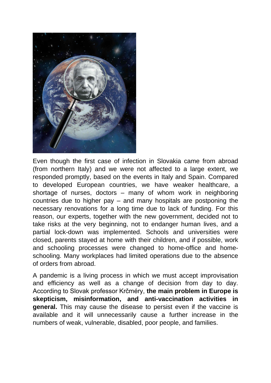

Even though the first case of infection in Slovakia came from abroad (from northern Italy) and we were not affected to a large extent, we responded promptly, based on the events in Italy and Spain. Compared to developed European countries, we have weaker healthcare, a shortage of nurses, doctors – many of whom work in neighboring countries due to higher pay – and many hospitals are postponing the necessary renovations for a long time due to lack of funding. For this reason, our experts, together with the new government, decided not to take risks at the very beginning, not to endanger human lives, and a partial lock-down was implemented. Schools and universities were closed, parents stayed at home with their children, and if possible, work and schooling processes were changed to home-office and homeschooling. Many workplaces had limited operations due to the absence of orders from abroad.

A pandemic is a living process in which we must accept improvisation and efficiency as well as a change of decision from day to day. According to Slovak professor Krčméry, **the main problem in Europe is skepticism, misinformation, and anti-vaccination activities in general.** This may cause the disease to persist even if the vaccine is available and it will unnecessarily cause a further increase in the numbers of weak, vulnerable, disabled, poor people, and families.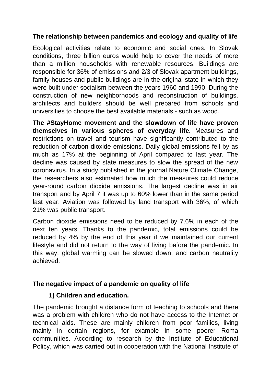# **The relationship between pandemics and ecology and quality of life**

Ecological activities relate to economic and social ones. In Slovak conditions, three billion euros would help to cover the needs of more than a million households with renewable resources. Buildings are responsible for 36% of emissions and 2/3 of Slovak apartment buildings, family houses and public buildings are in the original state in which they were built under socialism between the years 1960 and 1990. During the construction of new neighborhoods and reconstruction of buildings, architects and builders should be well prepared from schools and universities to choose the best available materials - such as wood.

**The #StayHome movement and the slowdown of life have proven themselves in various spheres of everyday life.** Measures and restrictions on travel and tourism have significantly contributed to the reduction of carbon dioxide emissions. Daily global emissions fell by as much as 17% at the beginning of April compared to last year. The decline was caused by state measures to slow the spread of the new coronavirus. In a study published in the journal Nature Climate Change, the researchers also estimated how much the measures could reduce year-round carbon dioxide emissions. The largest decline was in air transport and by April 7 it was up to 60% lower than in the same period last year. Aviation was followed by land transport with 36%, of which 21% was public transport.

Carbon dioxide emissions need to be reduced by 7.6% in each of the next ten years. Thanks to the pandemic, total emissions could be reduced by 4% by the end of this year if we maintained our current lifestyle and did not return to the way of living before the pandemic. In this way, global warming can be slowed down, and carbon neutrality achieved.

# **The negative impact of a pandemic on quality of life**

# **1) Children and education.**

The pandemic brought a distance form of teaching to schools and there was a problem with children who do not have access to the Internet or technical aids. These are mainly children from poor families, living mainly in certain regions, for example in some poorer Roma communities. According to research by the Institute of Educational Policy, which was carried out in cooperation with the National Institute of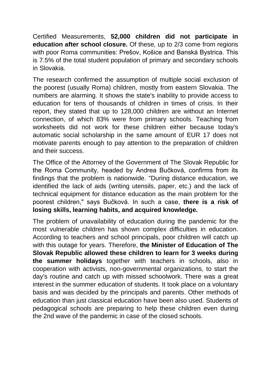Certified Measurements, **52,000 children did not participate in education after school closure.** Of these, up to 2/3 come from regions with poor Roma communities: Prešov, Košice and Banská Bystrica. This is 7.5% of the total student population of primary and secondary schools in Slovakia.

The research confirmed the assumption of multiple social exclusion of the poorest (usually Roma) children, mostly from eastern Slovakia. The numbers are alarming. It shows the state's inability to provide access to education for tens of thousands of children in times of crisis. In their report, they stated that up to 128,000 children are without an Internet connection, of which 83% were from primary schools. Teaching from worksheets did not work for these children either because today's automatic social scholarship in the same amount of EUR 17 does not motivate parents enough to pay attention to the preparation of children and their success.

The Office of the Attorney of the Government of The Slovak Republic for the Roma Community, headed by Andrea Bučková, confirms from its findings that the problem is nationwide. "During distance education, we identified the lack of aids (writing utensils, paper, etc.) and the lack of technical equipment for distance education as the main problem for the poorest children," says Bučková. In such a case, **there is a risk of losing skills, learning habits, and acquired knowledge.**

The problem of unavailability of education during the pandemic for the most vulnerable children has shown complex difficulties in education. According to teachers and school principals, poor children will catch up with this outage for years. Therefore, **the Minister of Education of The Slovak Republic allowed these children to learn for 3 weeks during the summer holidays** together with teachers in schools, also in cooperation with activists, non-governmental organizations, to start the day's routine and catch up with missed schoolwork. There was a great interest in the summer education of students. It took place on a voluntary basis and was decided by the principals and parents. Other methods of education than just classical education have been also used. Students of pedagogical schools are preparing to help these children even during the 2nd wave of the pandemic in case of the closed schools.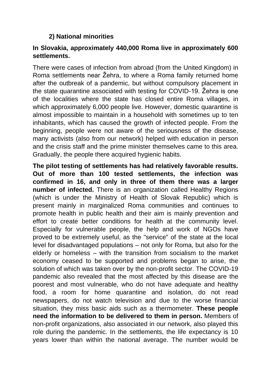# **2) National minorities**

## **In Slovakia, approximately 440,000 Roma live in approximately 600 settlements.**

There were cases of infection from abroad (from the United Kingdom) in Roma settlements near Žehra, to where a Roma family returned home after the outbreak of a pandemic, but without compulsory placement in the state quarantine associated with testing for COVID-19. Žehra is one of the localities where the state has closed entire Roma villages, in which approximately 6,000 people live. However, domestic quarantine is almost impossible to maintain in a household with sometimes up to ten inhabitants, which has caused the growth of infected people. From the beginning, people were not aware of the seriousness of the disease, many activists (also from our network) helped with education in person and the crisis staff and the prime minister themselves came to this area. Gradually, the people there acquired hygienic habits.

**The pilot testing of settlements has had relatively favorable results. Out of more than 100 tested settlements, the infection was confirmed in 16, and only in three of them there was a larger number of infected.** There is an organization called Healthy Regions (which is under the Ministry of Health of Slovak Republic) which is present mainly in marginalized Roma communities and continues to promote health in public health and their aim is mainly prevention and effort to create better conditions for health at the community level. Especially for vulnerable people, the help and work of NGOs have proved to be extremely useful, as the "service" of the state at the local level for disadvantaged populations – not only for Roma, but also for the elderly or homeless – with the transition from socialism to the market economy ceased to be supported and problems began to arise, the solution of which was taken over by the non-profit sector. The COVID-19 pandemic also revealed that the most affected by this disease are the poorest and most vulnerable, who do not have adequate and healthy food, a room for home quarantine and isolation, do not read newspapers, do not watch television and due to the worse financial situation, they miss basic aids such as a thermometer. **These people need the information to be delivered to them in person.** Members of non-profit organizations, also associated in our network, also played this role during the pandemic. In the settlements, the life expectancy is 10 years lower than within the national average. The number would be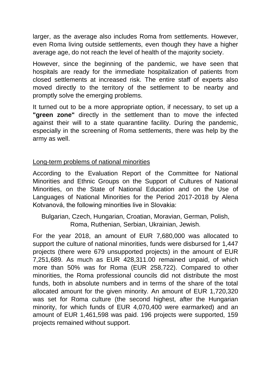larger, as the average also includes Roma from settlements. However, even Roma living outside settlements, even though they have a higher average age, do not reach the level of health of the majority society.

However, since the beginning of the pandemic, we have seen that hospitals are ready for the immediate hospitalization of patients from closed settlements at increased risk. The entire staff of experts also moved directly to the territory of the settlement to be nearby and promptly solve the emerging problems.

It turned out to be a more appropriate option, if necessary, to set up a **"green zone"** directly in the settlement than to move the infected against their will to a state quarantine facility. During the pandemic, especially in the screening of Roma settlements, there was help by the army as well.

## Long-term problems of national minorities

According to the Evaluation Report of the Committee for National Minorities and Ethnic Groups on the Support of Cultures of National Minorities, on the State of National Education and on the Use of Languages of National Minorities for the Period 2017-2018 by Alena Kotvanová, the following minorities live in Slovakia:

Bulgarian, Czech, Hungarian, Croatian, Moravian, German, Polish, Roma, Ruthenian, Serbian, Ukrainian, Jewish.

For the year 2018, an amount of EUR 7,680,000 was allocated to support the culture of national minorities, funds were disbursed for 1,447 projects (there were 679 unsupported projects) in the amount of EUR 7,251,689. As much as EUR 428,311.00 remained unpaid, of which more than 50% was for Roma (EUR 258,722). Compared to other minorities, the Roma professional councils did not distribute the most funds, both in absolute numbers and in terms of the share of the total allocated amount for the given minority. An amount of EUR 1,720,320 was set for Roma culture (the second highest, after the Hungarian minority, for which funds of EUR 4,070,400 were earmarked) and an amount of EUR 1,461,598 was paid. 196 projects were supported, 159 projects remained without support.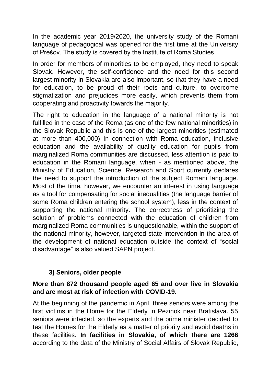In the academic year 2019/2020, the university study of the Romani language of pedagogical was opened for the first time at the University of Prešov. The study is covered by the Institute of Roma Studies

In order for members of minorities to be employed, they need to speak Slovak. However, the self-confidence and the need for this second largest minority in Slovakia are also important, so that they have a need for education, to be proud of their roots and culture, to overcome stigmatization and prejudices more easily, which prevents them from cooperating and proactivity towards the majority.

The right to education in the language of a national minority is not fulfilled in the case of the Roma (as one of the few national minorities) in the Slovak Republic and this is one of the largest minorities (estimated at more than 400,000) In connection with Roma education, inclusive education and the availability of quality education for pupils from marginalized Roma communities are discussed, less attention is paid to education in the Romani language, when - as mentioned above, the Ministry of Education, Science, Research and Sport currently declares the need to support the introduction of the subject Romani language. Most of the time, however, we encounter an interest in using language as a tool for compensating for social inequalities (the language barrier of some Roma children entering the school system), less in the context of supporting the national minority. The correctness of prioritizing the solution of problems connected with the education of children from marginalized Roma communities is unquestionable, within the support of the national minority, however, targeted state intervention in the area of the development of national education outside the context of "social disadvantage" is also valued SAPN project.

# **3) Seniors, older people**

## **More than 872 thousand people aged 65 and over live in Slovakia and are most at risk of infection with COVID-19.**

At the beginning of the pandemic in April, three seniors were among the first victims in the Home for the Elderly in Pezinok near Bratislava. 55 seniors were infected, so the experts and the prime minister decided to test the Homes for the Elderly as a matter of priority and avoid deaths in these facilities. **In facilities in Slovakia, of which there are 1266**  according to the data of the Ministry of Social Affairs of Slovak Republic,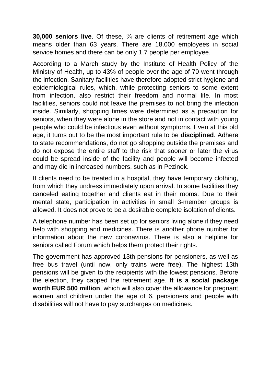**30,000 seniors live**. Of these, ¾ are clients of retirement age which means older than 63 years. There are 18,000 employees in social service homes and there can be only 1.7 people per employee.

According to a March study by the Institute of Health Policy of the Ministry of Health, up to 43% of people over the age of 70 went through the infection. Sanitary facilities have therefore adopted strict hygiene and epidemiological rules, which, while protecting seniors to some extent from infection, also restrict their freedom and normal life. In most facilities, seniors could not leave the premises to not bring the infection inside. Similarly, shopping times were determined as a precaution for seniors, when they were alone in the store and not in contact with young people who could be infectious even without symptoms. Even at this old age, it turns out to be the most important rule to be **disciplined**. Adhere to state recommendations, do not go shopping outside the premises and do not expose the entire staff to the risk that sooner or later the virus could be spread inside of the facility and people will become infected and may die in increased numbers, such as in Pezinok.

If clients need to be treated in a hospital, they have temporary clothing, from which they undress immediately upon arrival. In some facilities they canceled eating together and clients eat in their rooms. Due to their mental state, participation in activities in small 3-member groups is allowed. It does not prove to be a desirable complete isolation of clients.

A telephone number has been set up for seniors living alone if they need help with shopping and medicines. There is another phone number for information about the new coronavirus. There is also a helpline for seniors called Forum which helps them protect their rights.

The government has approved 13th pensions for pensioners, as well as free bus travel (until now, only trains were free). The highest 13th pensions will be given to the recipients with the lowest pensions. Before the election, they capped the retirement age. **It is a social package worth EUR 500 million**, which will also cover the allowance for pregnant women and children under the age of 6, pensioners and people with disabilities will not have to pay surcharges on medicines.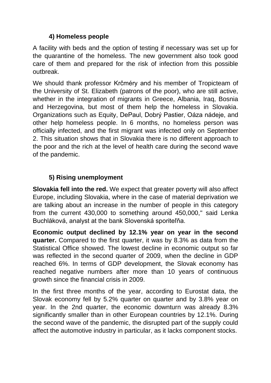# **4) Homeless people**

A facility with beds and the option of testing if necessary was set up for the quarantine of the homeless. The new government also took good care of them and prepared for the risk of infection from this possible outbreak.

We should thank professor Krčméry and his member of Tropicteam of the University of St. Elizabeth (patrons of the poor), who are still active, whether in the integration of migrants in Greece, Albania, Iraq, Bosnia and Herzegovina, but most of them help the homeless in Slovakia. Organizations such as Equity, DePaul, Dobrý Pastier, Oáza nádeje, and other help homeless people. In 6 months, no homeless person was officially infected, and the first migrant was infected only on September 2. This situation shows that in Slovakia there is no different approach to the poor and the rich at the level of health care during the second wave of the pandemic.

# **5) Rising unemployment**

**Slovakia fell into the red.** We expect that greater poverty will also affect Europe, including Slovakia, where in the case of material deprivation we are talking about an increase in the number of people in this category from the current 430,000 to something around 450,000," said Lenka Buchláková, analyst at the bank Slovenská sporiteľňa.

**Economic output declined by 12.1% year on year in the second quarter.** Compared to the first quarter, it was by 8.3% as data from the Statistical Office showed. The lowest decline in economic output so far was reflected in the second quarter of 2009, when the decline in GDP reached 6%. In terms of GDP development, the Slovak economy has reached negative numbers after more than 10 years of continuous growth since the financial crisis in 2009.

In the first three months of the year, according to Eurostat data, the Slovak economy fell by 5.2% quarter on quarter and by 3.8% year on year. In the 2nd quarter, the economic downturn was already 8.3% significantly smaller than in other European countries by 12.1%. During the second wave of the pandemic, the disrupted part of the supply could affect the automotive industry in particular, as it lacks component stocks.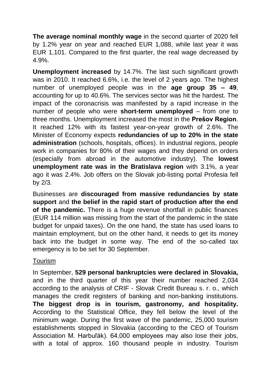**The average nominal monthly wage** in the second quarter of 2020 fell by 1.2% year on year and reached EUR 1,088, while last year it was EUR 1,101. Compared to the first quarter, the real wage decreased by 4.9%.

**Unemployment increased** by 14.7%. The last such significant growth was in 2010. It reached 6.6%, i.e. the level of 2 years ago. The highest number of unemployed people was in the **age group 35 – 49**, accounting for up to 40.6%. The services sector was hit the hardest. The impact of the coronacrisis was manifested by a rapid increase in the number of people who were **short-term unemployed** – from one to three months. Unemployment increased the most in the **Prešov Region**. It reached 12% with its fastest year-on-year growth of 2.6%. The Minister of Economy expects **redundancies of up to 20% in the state administration** (schools, hospitals, offices). In industrial regions, people work in companies for 80% of their wages and they depend on orders (especially from abroad in the automotive industry). The **lowest unemployment rate was in the Bratislava region** with 3.1%, a year ago it was 2.4%. Job offers on the Slovak job-listing portal Profesia fell by 2/3.

Businesses are **discouraged from massive redundancies by state support** and **the belief in the rapid start of production after the end of the pandemic.** There is a huge revenue shortfall in public finances (EUR 114 million was missing from the start of the pandemic in the state budget for unpaid taxes). On the one hand, the state has used loans to maintain employment, but on the other hand, it needs to get its money back into the budget in some way. The end of the so-called tax emergency is to be set for 30 September.

# Tourism

In September, **529 personal bankruptcies were declared in Slovakia,** and in the third quarter of this year their number reached 2,034 according to the analysis of CRIF - Slovak Credit Bureau s. r. o., which manages the credit registers of banking and non-banking institutions. **The biggest drop is in tourism, gastronomy, and hospitality.**  According to the Statistical Office, they fell below the level of the minimum wage. During the first wave of the pandemic, 25,000 tourism establishments stopped in Slovakia (according to the CEO of Tourism Association M. Harbuľák). 64,000 employees may also lose their jobs, with a total of approx. 160 thousand people in industry. Tourism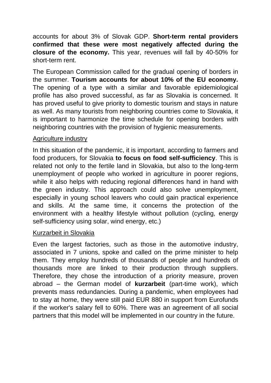accounts for about 3% of Slovak GDP. **Short-term rental providers confirmed that these were most negatively affected during the closure of the economy.** This year, revenues will fall by 40-50% for short-term rent.

The European Commission called for the gradual opening of borders in the summer. **Tourism accounts for about 10% of the EU economy.** The opening of a type with a similar and favorable epidemiological profile has also proved successful, as far as Slovakia is concerned. It has proved useful to give priority to domestic tourism and stays in nature as well. As many tourists from neighboring countries come to Slovakia, it is important to harmonize the time schedule for opening borders with neighboring countries with the provision of hygienic measurements.

#### Agriculture industry

In this situation of the pandemic, it is important, according to farmers and food producers, for Slovakia **to focus on food self-sufficiency**. This is related not only to the fertile land in Slovakia, but also to the long-term unemployment of people who worked in agriculture in poorer regions, while it also helps with reducing regional differences hand in hand with the green industry. This approach could also solve unemployment, especially in young school leavers who could gain practical experience and skills. At the same time, it concerns the protection of the environment with a healthy lifestyle without pollution (cycling, energy self-sufficiency using solar, wind energy, etc.)

### Kurzarbeit in Slovakia

Even the largest factories, such as those in the automotive industry, associated in 7 unions, spoke and called on the prime minister to help them. They employ hundreds of thousands of people and hundreds of thousands more are linked to their production through suppliers. Therefore, they chose the introduction of a priority measure, proven abroad – the German model of **kurzarbeit** (part-time work), which prevents mass redundancies. During a pandemic, when employees had to stay at home, they were still paid EUR 880 in support from Eurofunds if the worker's salary fell to 60%. There was an agreement of all social partners that this model will be implemented in our country in the future.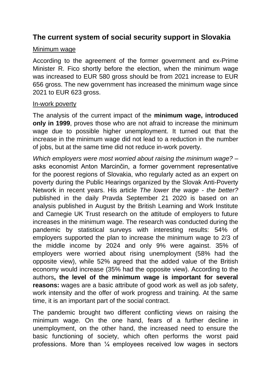# **The current system of social security support in Slovakia**

#### Minimum wage

According to the agreement of the former government and ex-Prime Minister R. Fico shortly before the election, when the minimum wage was increased to EUR 580 gross should be from 2021 increase to EUR 656 gross. The new government has increased the minimum wage since 2021 to EUR 623 gross.

#### In-work poverty

The analysis of the current impact of the **minimum wage, introduced only in 1999**, proves those who are not afraid to increase the minimum wage due to possible higher unemployment. It turned out that the increase in the minimum wage did not lead to a reduction in the number of jobs, but at the same time did not reduce in-work poverty.

*Which employers were most worried about raising the minimum wage?* – asks economist Anton Marcinčin, a former government representative for the poorest regions of Slovakia, who regularly acted as an expert on poverty during the Public Hearings organized by the Slovak Anti-Poverty Network in recent years. His article *The lower the wage - the better?* published in the daily Pravda September 21 2020 is based on an analysis published in August by the British Learning and Work Institute and Carnegie UK Trust research on the attitude of employers to future increases in the minimum wage. The research was conducted during the pandemic by statistical surveys with interesting results: 54% of employers supported the plan to increase the minimum wage to 2/3 of the middle income by 2024 and only 9% were against. 35% of employers were worried about rising unemployment (58% had the opposite view), while 52% agreed that the added value of the British economy would increase (35% had the opposite view). According to the authors**, the level of the minimum wage is important for several reasons:** wages are a basic attribute of good work as well as job safety, work intensity and the offer of work progress and training. At the same time, it is an important part of the social contract.

The pandemic brought two different conflicting views on raising the minimum wage. On the one hand, fears of a further decline in unemployment, on the other hand, the increased need to ensure the basic functioning of society, which often performs the worst paid professions. More than  $\frac{1}{4}$  employees received low wages in sectors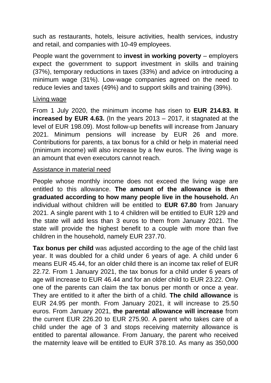such as restaurants, hotels, leisure activities, health services, industry and retail, and companies with 10-49 employees.

People want the government to **invest in working poverty** – employers expect the government to support investment in skills and training (37%), temporary reductions in taxes (33%) and advice on introducing a minimum wage (31%). Low-wage companies agreed on the need to reduce levies and taxes (49%) and to support skills and training (39%).

#### Living wage

From 1 July 2020, the minimum income has risen to **EUR 214.83. It increased by EUR 4.63.** (In the years 2013 – 2017, it stagnated at the level of EUR 198.09). Most follow-up benefits will increase from January 2021. Minimum pensions will increase by EUR 26 and more. Contributions for parents, a tax bonus for a child or help in material need (minimum income) will also increase by a few euros. The living wage is an amount that even executors cannot reach.

#### Assistance in material need

People whose monthly income does not exceed the living wage are entitled to this allowance. **The amount of the allowance is then graduated according to how many people live in the household.** An individual without children will be entitled to **EUR 67.80** from January 2021. A single parent with 1 to 4 children will be entitled to EUR 129 and the state will add less than 3 euros to them from January 2021. The state will provide the highest benefit to a couple with more than five children in the household, namely EUR 237.70.

**Tax bonus per child** was adjusted according to the age of the child last year. It was doubled for a child under 6 years of age. A child under 6 means EUR 45.44, for an older child there is an income tax relief of EUR 22.72. From 1 January 2021, the tax bonus for a child under 6 years of age will increase to EUR 46.44 and for an older child to EUR 23.22. Only one of the parents can claim the tax bonus per month or once a year. They are entitled to it after the birth of a child. **The child allowance** is EUR 24.95 per month. From January 2021, it will increase to 25.50 euros. From January 2021, **the parental allowance will increase** from the current EUR 226.20 to EUR 275.90. A parent who takes care of a child under the age of 3 and stops receiving maternity allowance is entitled to parental allowance. From January, the parent who received the maternity leave will be entitled to EUR 378.10. As many as 350,000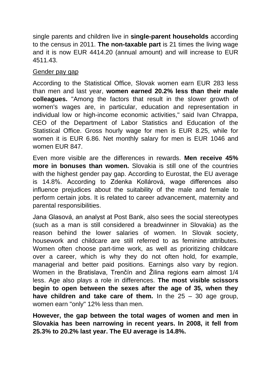single parents and children live in **single-parent households** according to the census in 2011. **The non-taxable part** is 21 times the living wage and it is now EUR 4414.20 (annual amount) and will increase to EUR 4511.43.

#### Gender pay gap

According to the Statistical Office, Slovak women earn EUR 283 less than men and last year, **women earned 20.2% less than their male colleagues.** "Among the factors that result in the slower growth of women's wages are, in particular, education and representation in individual low or high-income economic activities," said Ivan Chrappa, CEO of the Department of Labor Statistics and Education of the Statistical Office. Gross hourly wage for men is EUR 8.25, while for women it is EUR 6.86. Net monthly salary for men is EUR 1046 and women EUR 847.

Even more visible are the differences in rewards. **Men receive 45% more in bonuses than women.** Slovakia is still one of the countries with the highest gender pay gap. According to Eurostat, the EU average is 14.8%. According to Zdenka Kollárová, wage differences also influence prejudices about the suitability of the male and female to perform certain jobs. It is related to career advancement, maternity and parental responsibilities.

Jana Glasová, an analyst at Post Bank, also sees the social stereotypes (such as a man is still considered a breadwinner in Slovakia) as the reason behind the lower salaries of women. In Slovak society, housework and childcare are still referred to as feminine attributes. Women often choose part-time work, as well as prioritizing childcare over a career, which is why they do not often hold, for example, managerial and better paid positions. Earnings also vary by region. Women in the Bratislava, Trenčín and Žilina regions earn almost 1/4 less. Age also plays a role in differences. **The most visible scissors begin to open between the sexes after the age of 35, when they have children and take care of them.** In the 25 – 30 age group, women earn "only" 12% less than men.

**However, the gap between the total wages of women and men in Slovakia has been narrowing in recent years. In 2008, it fell from 25.3% to 20.2% last year. The EU average is 14.8%.**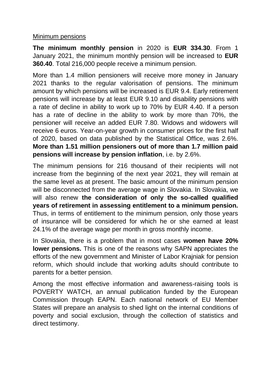#### Minimum pensions

**The minimum monthly pension** in 2020 is **EUR 334.30**. From 1 January 2021, the minimum monthly pension will be increased to **EUR 360.40**. Total 216,000 people receive a minimum pension.

More than 1.4 million pensioners will receive more money in January 2021 thanks to the regular valorisation of pensions. The minimum amount by which pensions will be increased is EUR 9.4. Early retirement pensions will increase by at least EUR 9.10 and disability pensions with a rate of decline in ability to work up to 70% by EUR 4.40. If a person has a rate of decline in the ability to work by more than 70%, the pensioner will receive an added EUR 7.80. Widows and widowers will receive 6 euros. Year-on-year growth in consumer prices for the first half of 2020, based on data published by the Statistical Office, was 2.6%. **More than 1.51 million pensioners out of more than 1.7 million paid pensions will increase by pension inflation**, i.e. by 2.6%.

The minimum pensions for 216 thousand of their recipients will not increase from the beginning of the next year 2021, they will remain at the same level as at present. The basic amount of the minimum pension will be disconnected from the average wage in Slovakia. In Slovakia, we will also renew **the consideration of only the so-called qualified years of retirement in assessing entitlement to a minimum pension.** Thus, in terms of entitlement to the minimum pension, only those years of insurance will be considered for which he or she earned at least 24.1% of the average wage per month in gross monthly income.

In Slovakia, there is a problem that in most cases **women have 20% lower pensions.** This is one of the reasons why SAPN appreciates the efforts of the new government and Minister of Labor Krajniak for pension reform, which should include that working adults should contribute to parents for a better pension.

Among the most effective information and awareness-raising tools is POVERTY WATCH, an annual publication funded by the European Commission through EAPN. Each national network of EU Member States will prepare an analysis to shed light on the internal conditions of poverty and social exclusion, through the collection of statistics and direct testimony.